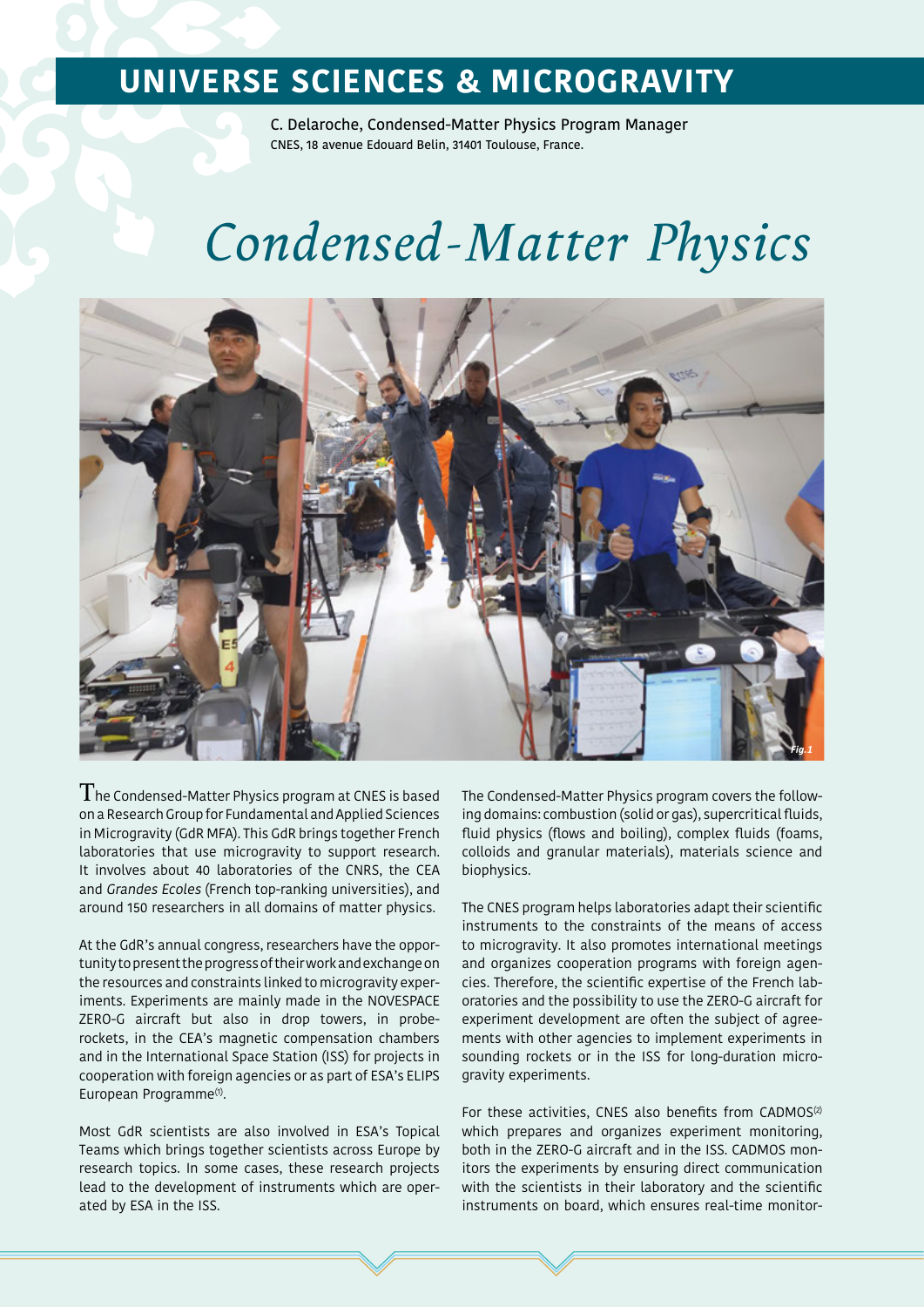### **UNIVERSE SCIENCES & MICROGRAVITY**

C. Delaroche, Condensed-Matter Physics Program Manager CNES, 18 avenue Edouard Belin, 31401 Toulouse, France.

# *Condensed-Matter Physics*



 ${\rm T}$ he Condensed-Matter Physics program at CNES is based on a Research Group for Fundamental and Applied Sciences in Microgravity (GdR MFA). This GdR brings together French laboratories that use microgravity to support research. It involves about 40 laboratories of the CNRS, the CEA and Grandes Ecoles (French top-ranking universities), and around 150 researchers in all domains of matter physics.

At the GdR's annual congress, researchers have the opportunity to present the progress of their work and exchange on the resources and constraints linked to microgravity experiments. Experiments are mainly made in the NOVESPACE ZERO-G aircraft but also in drop towers, in proberockets, in the CEA's magnetic compensation chambers and in the International Space Station (ISS) for projects in cooperation with foreign agencies or as part of ESA's ELIPS European Programme<sup>(1)</sup>.

Most GdR scientists are also involved in ESA's Topical Teams which brings together scientists across Europe by research topics. In some cases, these research projects lead to the development of instruments which are operated by ESA in the ISS.

The Condensed-Matter Physics program covers the following domains: combustion (solid or gas), supercritical fluids, fluid physics (flows and boiling), complex fluids (foams, colloids and granular materials), materials science and biophysics.

The CNES program helps laboratories adapt their scientific instruments to the constraints of the means of access to microgravity. It also promotes international meetings and organizes cooperation programs with foreign agencies. Therefore, the scientific expertise of the French laboratories and the possibility to use the ZERO-G aircraft for experiment development are often the subject of agreements with other agencies to implement experiments in sounding rockets or in the ISS for long-duration microgravity experiments.

For these activities, CNES also benefits from CADMOS<sup>(2)</sup> which prepares and organizes experiment monitoring, both in the ZERO-G aircraft and in the ISS. CADMOS monitors the experiments by ensuring direct communication with the scientists in their laboratory and the scientific instruments on board, which ensures real-time monitor-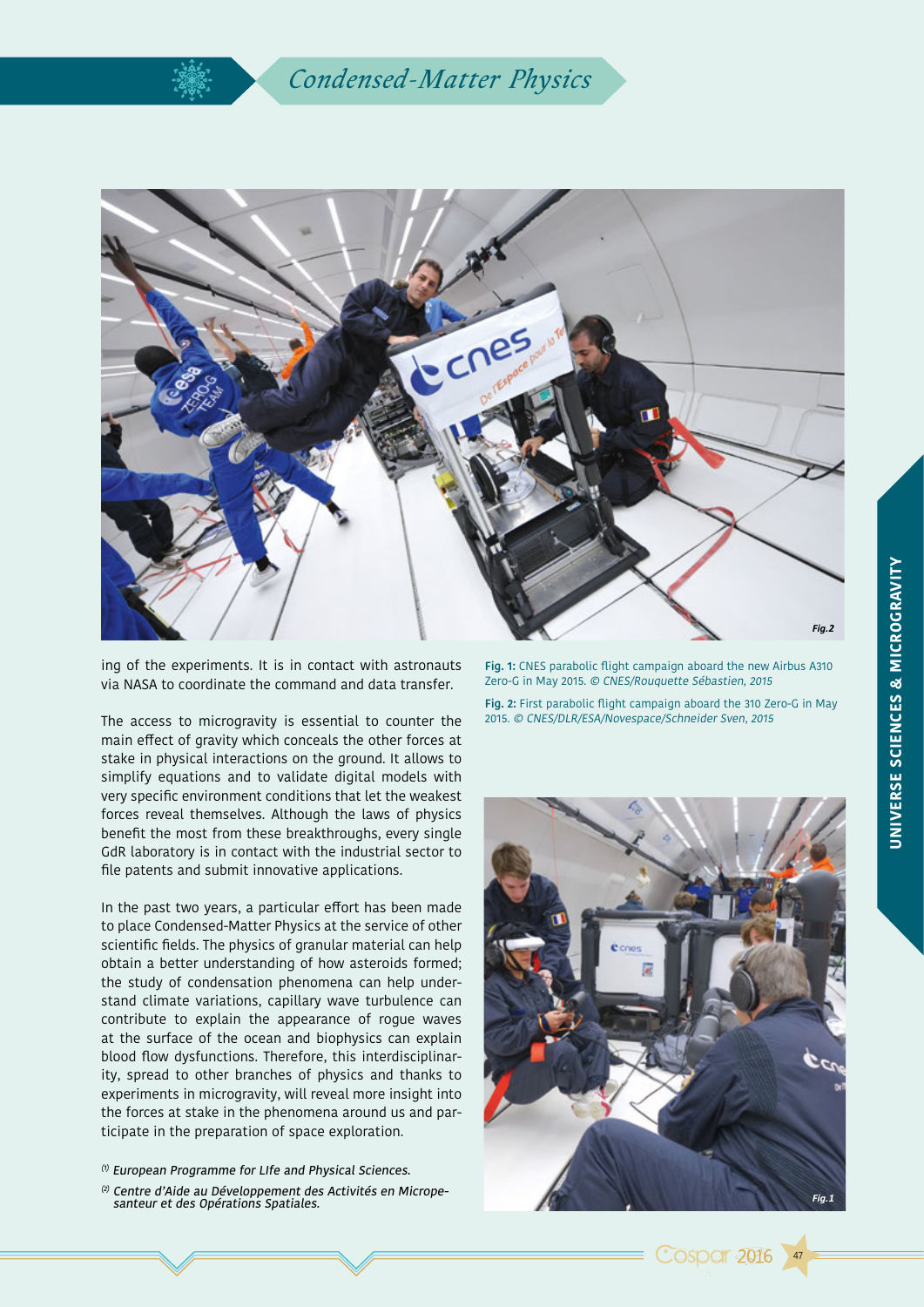

ing of the experiments. It is in contact with astronauts via NASA to coordinate the command and data transfer.

The access to microgravity is essential to counter the main effect of gravity which conceals the other forces at stake in physical interactions on the ground. It allows to simplify equations and to validate digital models with very specific environment conditions that let the weakest forces reveal themselves. Although the laws of physics benefit the most from these breakthroughs, every single GdR laboratory is in contact with the industrial sector to file patents and submit innovative applications.

In the past two years, a particular effort has been made to place Condensed-Matter Physics at the service of other scientific fields. The physics of granular material can help obtain a better understanding of how asteroids formed; the study of condensation phenomena can help understand climate variations, capillary wave turbulence can contribute to explain the appearance of rogue waves at the surface of the ocean and biophysics can explain blood flow dysfunctions. Therefore, this interdisciplinarity, spread to other branches of physics and thanks to experiments in microgravity, will reveal more insight into the forces at stake in the phenomena around us and participate in the preparation of space exploration.

- $(1)$  European Programme for LIfe and Physical Sciences.
- <sup>(2)</sup> Centre d'Aide au Développement des Activités en Micropesanteur et des Opérations Spatiales.

**Fig. 1:** CNES parabolic flight campaign aboard the new Airbus A310 Zero-G in May 2015. © CNES/Rouquette Sébastien, 2015

**Fig. 2:** First parabolic flight campaign aboard the 310 Zero-G in May 2015. © CNES/DLR/ESA/Novespace/Schneider Sven, 2015



47

**Cosper 2016**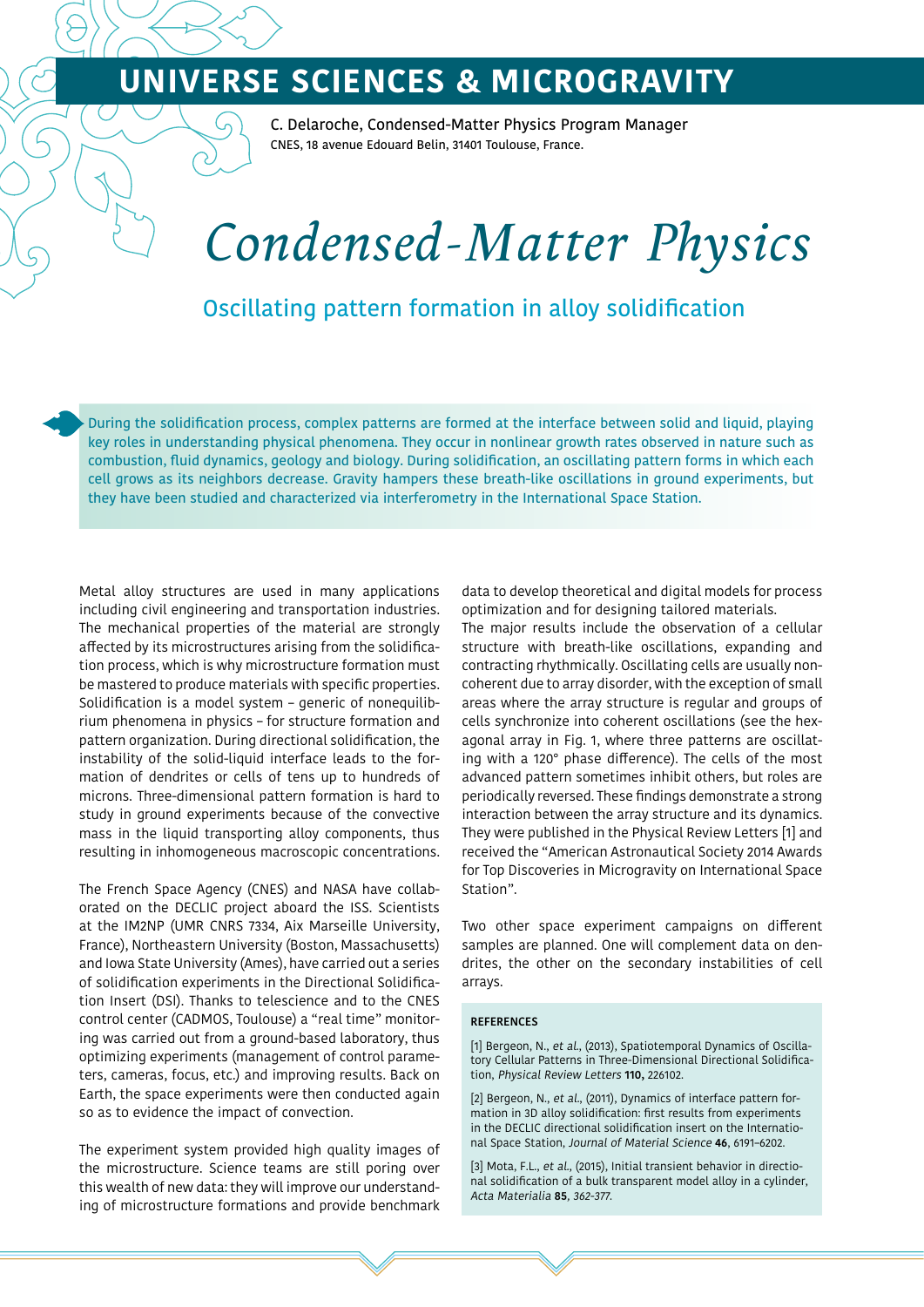## **UNIVERSE SCIENCES & MICROGRAVITY**

C. Delaroche, Condensed-Matter Physics Program Manager CNES, 18 avenue Edouard Belin, 31401 Toulouse, France.

# *Condensed-Matter Physics*

#### Oscillating pattern formation in alloy solidification

During the solidification process, complex patterns are formed at the interface between solid and liquid, playing key roles in understanding physical phenomena. They occur in nonlinear growth rates observed in nature such as combustion, fluid dynamics, geology and biology. During solidification, an oscillating pattern forms in which each cell grows as its neighbors decrease. Gravity hampers these breath-like oscillations in ground experiments, but they have been studied and characterized via interferometry in the International Space Station.

Metal alloy structures are used in many applications including civil engineering and transportation industries. The mechanical properties of the material are strongly affected by its microstructures arising from the solidification process, which is why microstructure formation must be mastered to produce materials with specific properties. Solidification is a model system – generic of nonequilibrium phenomena in physics – for structure formation and pattern organization. During directional solidification, the instability of the solid-liquid interface leads to the formation of dendrites or cells of tens up to hundreds of microns. Three-dimensional pattern formation is hard to study in ground experiments because of the convective mass in the liquid transporting alloy components, thus resulting in inhomogeneous macroscopic concentrations.

The French Space Agency (CNES) and NASA have collaborated on the DECLIC project aboard the ISS. Scientists at the IM2NP (UMR CNRS 7334, Aix Marseille University, France), Northeastern University (Boston, Massachusetts) and Iowa State University (Ames), have carried out a series of solidification experiments in the Directional Solidification Insert (DSI). Thanks to telescience and to the CNES control center (CADMOS, Toulouse) a "real time" monitoring was carried out from a ground-based laboratory, thus optimizing experiments (management of control parameters, cameras, focus, etc.) and improving results. Back on Earth, the space experiments were then conducted again so as to evidence the impact of convection.

The experiment system provided high quality images of the microstructure. Science teams are still poring over this wealth of new data: they will improve our understanding of microstructure formations and provide benchmark data to develop theoretical and digital models for process optimization and for designing tailored materials.

The major results include the observation of a cellular structure with breath-like oscillations, expanding and contracting rhythmically. Oscillating cells are usually noncoherent due to array disorder, with the exception of small areas where the array structure is regular and groups of cells synchronize into coherent oscillations (see the hexagonal array in Fig. 1, where three patterns are oscillating with a 120° phase difference). The cells of the most advanced pattern sometimes inhibit others, but roles are periodically reversed. These findings demonstrate a strong interaction between the array structure and its dynamics. They were published in the Physical Review Letters [1] and received the "American Astronautical Society 2014 Awards for Top Discoveries in Microgravity on International Space Station".

Two other space experiment campaigns on different samples are planned. One will complement data on dendrites, the other on the secondary instabilities of cell arrays.

#### **REFERENCES**

[1] Bergeon, N., et al., (2013), Spatiotemporal Dynamics of Oscillatory Cellular Patterns in Three-Dimensional Directional Solidification, Physical Review Letters **110,** 226102.

[2] Bergeon, N., et al., (2011), Dynamics of interface pattern formation in 3D alloy solidification: first results from experiments in the DECLIC directional solidification insert on the International Space Station, Journal of Material Science **46**, 6191–6202.

[3] Mota, F.L., et al., (2015), Initial transient behavior in directional solidification of a bulk transparent model alloy in a cylinder, Acta Materialia **85**, 362-377.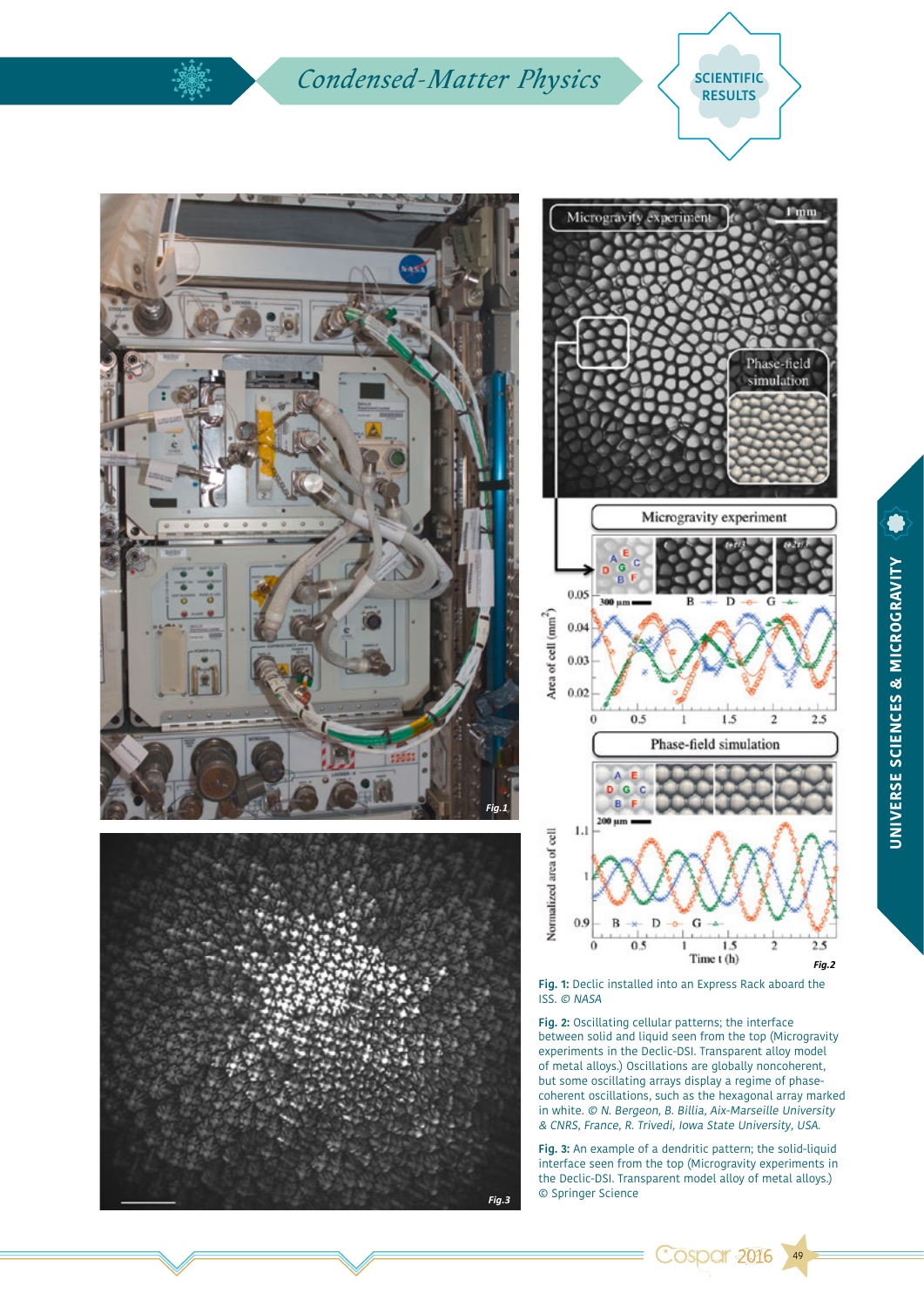### **Condensed-Matter Physics**  $\left\{\right.$  SCIENTIFIC







**Fig. 1:** Declic installed into an Express Rack aboard the ISS. © NASA

**Fig. 2:** Oscillating cellular patterns; the interface between solid and liquid seen from the top (Microgravity experiments in the Declic-DSI. Transparent alloy model of metal alloys.) Oscillations are globally noncoherent, but some oscillating arrays display a regime of phasecoherent oscillations, such as the hexagonal array marked in white. © N. Bergeon, B. Billia, Aix-Marseille University & CNRS, France, R. Trivedi, Iowa State University, USA.

**Fig. 3:** An example of a dendritic pattern; the solid-liquid interface seen from the top (Microgravity experiments in the Declic-DSI. Transparent model alloy of metal alloys.) © Springer Science *Fig.3*

**Cospar 2016** 

49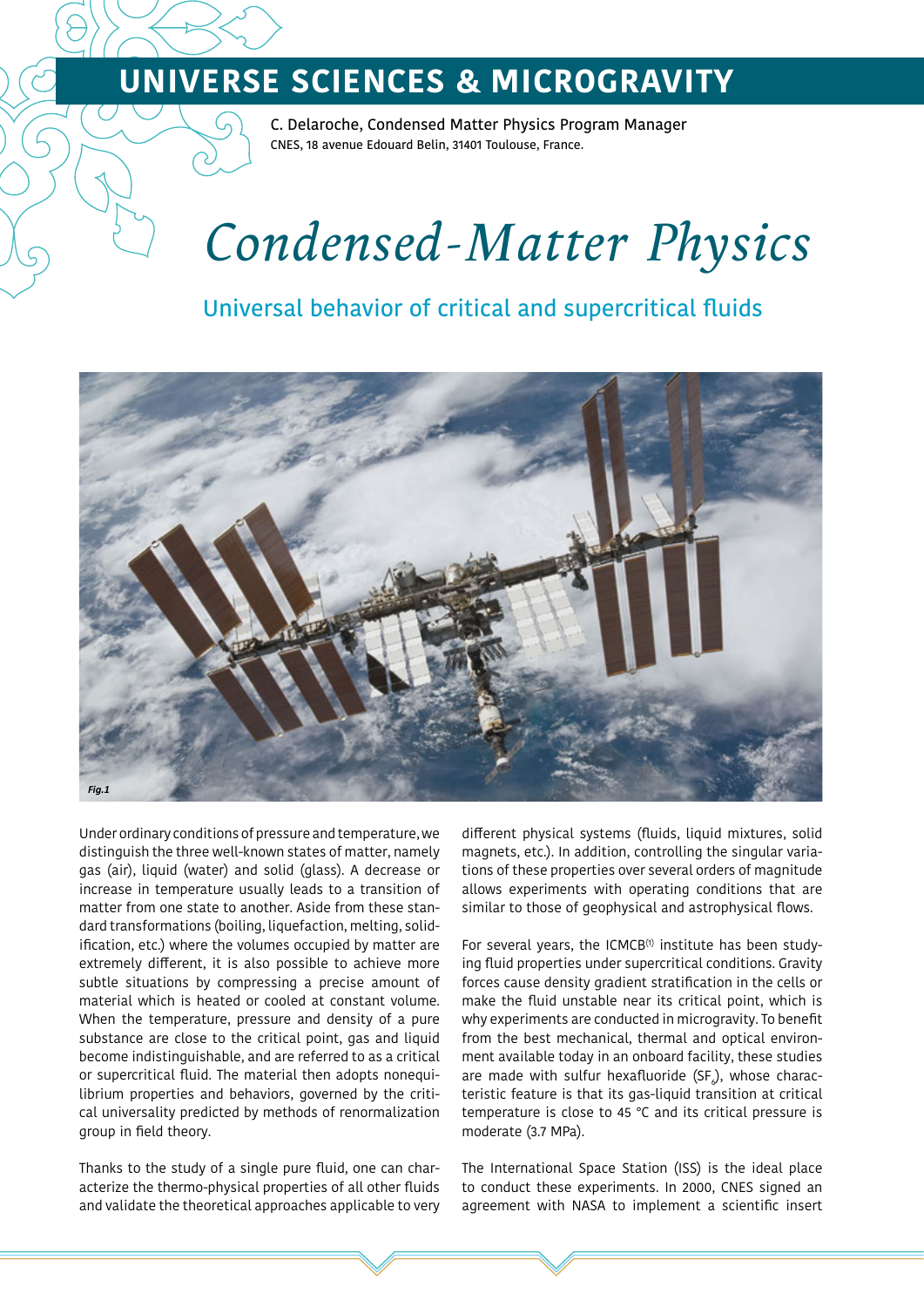## **UNIVERSE SCIENCES & MICROGRAVITY**

C. Delaroche, Condensed Matter Physics Program Manager CNES, 18 avenue Edouard Belin, 31401 Toulouse, France.

# *Condensed-Matter Physics*

### Universal behavior of critical and supercritical fluids



Under ordinary conditions of pressure and temperature, we distinguish the three well-known states of matter, namely gas (air), liquid (water) and solid (glass). A decrease or increase in temperature usually leads to a transition of matter from one state to another. Aside from these standard transformations (boiling, liquefaction, melting, solidification, etc.) where the volumes occupied by matter are extremely different, it is also possible to achieve more subtle situations by compressing a precise amount of material which is heated or cooled at constant volume. When the temperature, pressure and density of a pure substance are close to the critical point, gas and liquid become indistinguishable, and are referred to as a critical or supercritical fluid. The material then adopts nonequilibrium properties and behaviors, governed by the critical universality predicted by methods of renormalization group in field theory.

Thanks to the study of a single pure fluid, one can characterize the thermo-physical properties of all other fluids and validate the theoretical approaches applicable to very different physical systems (fluids, liquid mixtures, solid magnets, etc.). In addition, controlling the singular variations of these properties over several orders of magnitude allows experiments with operating conditions that are similar to those of geophysical and astrophysical flows.

For several years, the ICMCB<sup>(1)</sup> institute has been studying fluid properties under supercritical conditions. Gravity forces cause density gradient stratification in the cells or make the fluid unstable near its critical point, which is why experiments are conducted in microgravity. To benefit from the best mechanical, thermal and optical environment available today in an onboard facility, these studies are made with sulfur hexafluoride (SF $_{\rm e}$ ), whose characteristic feature is that its gas-liquid transition at critical temperature is close to 45 °C and its critical pressure is moderate (3.7 MPa).

The International Space Station (ISS) is the ideal place to conduct these experiments. In 2000, CNES signed an agreement with NASA to implement a scientific insert